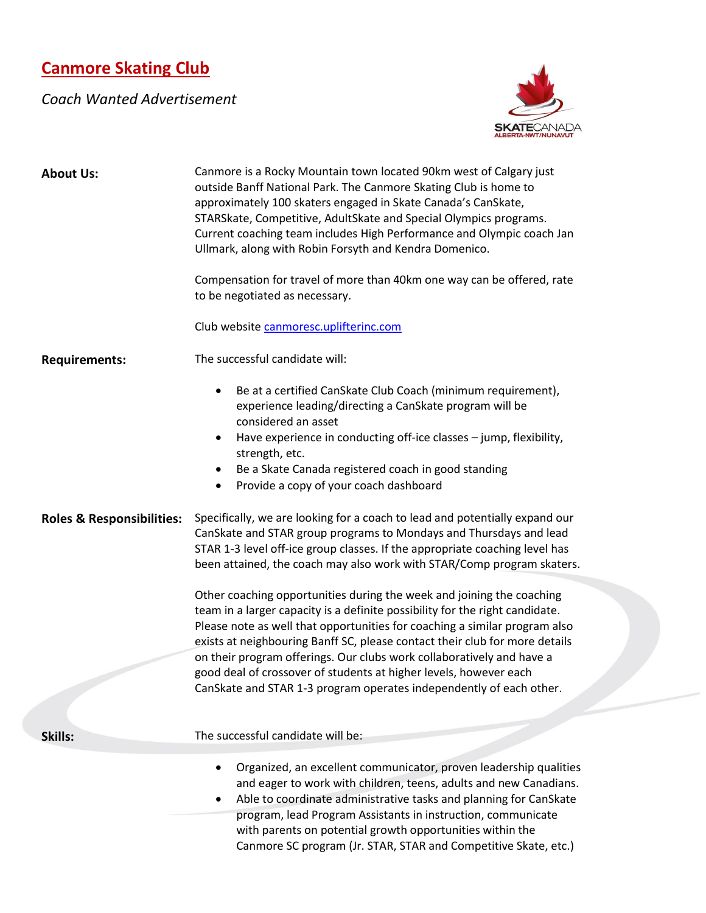## **Canmore Skating Club**

## *Coach Wanted Advertisement*



| <b>About Us:</b>                     | Canmore is a Rocky Mountain town located 90km west of Calgary just<br>outside Banff National Park. The Canmore Skating Club is home to                      |
|--------------------------------------|-------------------------------------------------------------------------------------------------------------------------------------------------------------|
|                                      | approximately 100 skaters engaged in Skate Canada's CanSkate,                                                                                               |
|                                      | STARSkate, Competitive, AdultSkate and Special Olympics programs.<br>Current coaching team includes High Performance and Olympic coach Jan                  |
|                                      | Ullmark, along with Robin Forsyth and Kendra Domenico.                                                                                                      |
|                                      | Compensation for travel of more than 40km one way can be offered, rate<br>to be negotiated as necessary.                                                    |
|                                      | Club website canmoresc.uplifterinc.com                                                                                                                      |
| <b>Requirements:</b>                 | The successful candidate will:                                                                                                                              |
|                                      | Be at a certified CanSkate Club Coach (minimum requirement),<br>$\bullet$<br>experience leading/directing a CanSkate program will be<br>considered an asset |
|                                      | Have experience in conducting off-ice classes - jump, flexibility,<br>strength, etc.                                                                        |
|                                      | Be a Skate Canada registered coach in good standing<br>$\bullet$                                                                                            |
|                                      | Provide a copy of your coach dashboard<br>$\bullet$                                                                                                         |
| <b>Roles &amp; Responsibilities:</b> | Specifically, we are looking for a coach to lead and potentially expand our                                                                                 |
|                                      | CanSkate and STAR group programs to Mondays and Thursdays and lead<br>STAR 1-3 level off-ice group classes. If the appropriate coaching level has           |
|                                      | been attained, the coach may also work with STAR/Comp program skaters.                                                                                      |
|                                      | Other coaching opportunities during the week and joining the coaching                                                                                       |
|                                      | team in a larger capacity is a definite possibility for the right candidate.                                                                                |
|                                      | Please note as well that opportunities for coaching a similar program also<br>exists at neighbouring Banff SC, please contact their club for more details   |
|                                      | on their program offerings. Our clubs work collaboratively and have a                                                                                       |
|                                      | good deal of crossover of students at higher levels, however each                                                                                           |
|                                      | CanSkate and STAR 1-3 program operates independently of each other.                                                                                         |
| Skills:                              | The successful candidate will be:                                                                                                                           |
|                                      | Organized, an excellent communicator, proven leadership qualities                                                                                           |
|                                      | and eager to work with children, teens, adults and new Canadians.                                                                                           |
|                                      | Able to coordinate administrative tasks and planning for CanSkate<br>program, lead Program Assistants in instruction, communicate                           |
|                                      | with parents on potential growth opportunities within the                                                                                                   |
|                                      | Canmore SC program (Jr. STAR, STAR and Competitive Skate, etc.)                                                                                             |